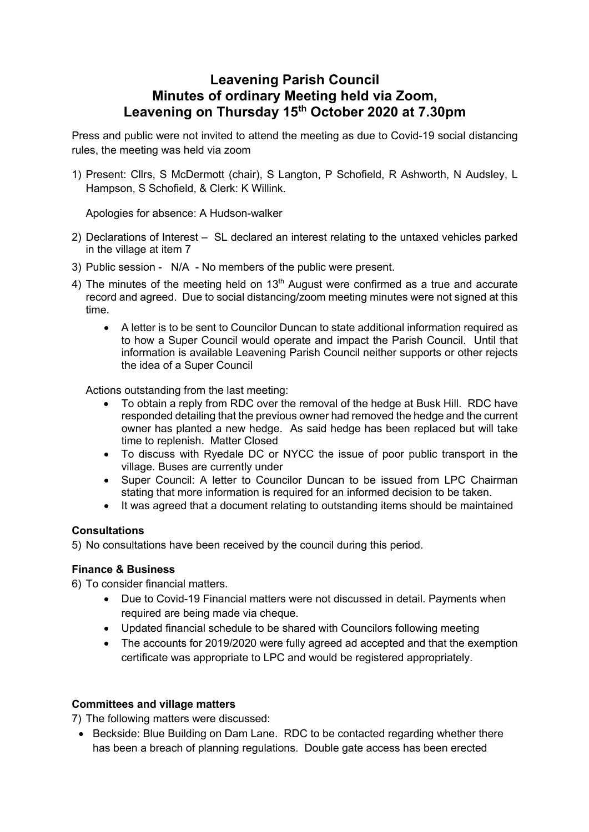## **Leavening Parish Council Minutes of ordinary Meeting held via Zoom, Leavening on Thursday 15th October 2020 at 7.30pm**

Press and public were not invited to attend the meeting as due to Covid-19 social distancing rules, the meeting was held via zoom

1) Present: Cllrs, S McDermott (chair), S Langton, P Schofield, R Ashworth, N Audsley, L Hampson, S Schofield, & Clerk: K Willink.

Apologies for absence: A Hudson-walker

- 2) Declarations of Interest SL declared an interest relating to the untaxed vehicles parked in the village at item 7
- 3) Public session N/A No members of the public were present.
- 4) The minutes of the meeting held on  $13<sup>th</sup>$  August were confirmed as a true and accurate record and agreed. Due to social distancing/zoom meeting minutes were not signed at this time.
	- A letter is to be sent to Councilor Duncan to state additional information required as to how a Super Council would operate and impact the Parish Council. Until that information is available Leavening Parish Council neither supports or other rejects the idea of a Super Council

Actions outstanding from the last meeting:

- To obtain a reply from RDC over the removal of the hedge at Busk Hill. RDC have responded detailing that the previous owner had removed the hedge and the current owner has planted a new hedge. As said hedge has been replaced but will take time to replenish. Matter Closed
- To discuss with Ryedale DC or NYCC the issue of poor public transport in the village. Buses are currently under
- Super Council: A letter to Councilor Duncan to be issued from LPC Chairman stating that more information is required for an informed decision to be taken.
- It was agreed that a document relating to outstanding items should be maintained

## **Consultations**

5) No consultations have been received by the council during this period.

## **Finance & Business**

- 6) To consider financial matters.
	- Due to Covid-19 Financial matters were not discussed in detail. Payments when required are being made via cheque.
	- Updated financial schedule to be shared with Councilors following meeting
	- The accounts for 2019/2020 were fully agreed ad accepted and that the exemption certificate was appropriate to LPC and would be registered appropriately.

## **Committees and village matters**

7) The following matters were discussed:

• Beckside: Blue Building on Dam Lane. RDC to be contacted regarding whether there has been a breach of planning regulations. Double gate access has been erected